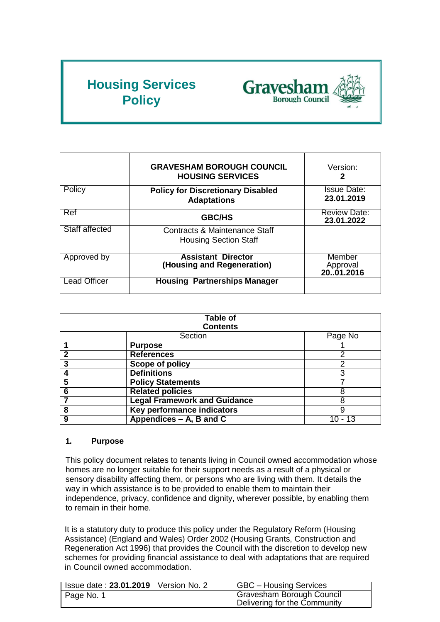# **Housing Services Policy**



|                     | <b>GRAVESHAM BOROUGH COUNCIL</b><br><b>HOUSING SERVICES</b>    | Version:<br>2                     |
|---------------------|----------------------------------------------------------------|-----------------------------------|
| Policy              | <b>Policy for Discretionary Disabled</b><br><b>Adaptations</b> | <b>Issue Date:</b><br>23.01.2019  |
| Ref                 | <b>GBC/HS</b>                                                  | <b>Review Date:</b><br>23.01.2022 |
| Staff affected      | Contracts & Maintenance Staff<br><b>Housing Section Staff</b>  |                                   |
| Approved by         | <b>Assistant Director</b><br>(Housing and Regeneration)        | Member<br>Approval<br>20.01.2016  |
| <b>Lead Officer</b> | <b>Housing Partnerships Manager</b>                            |                                   |

| <b>Table of</b><br><b>Contents</b> |                                     |         |
|------------------------------------|-------------------------------------|---------|
| Section                            |                                     | Page No |
|                                    | <b>Purpose</b>                      |         |
| 2                                  | <b>References</b>                   |         |
| 3                                  | <b>Scope of policy</b>              | っ       |
|                                    | <b>Definitions</b>                  | 3       |
| 5                                  | <b>Policy Statements</b>            |         |
| 6                                  | <b>Related policies</b>             | 8       |
|                                    | <b>Legal Framework and Guidance</b> | 8       |
| 8                                  | <b>Key performance indicators</b>   | 9       |
| 9                                  | Appendices – A, B and C             |         |

# **1. Purpose**

This policy document relates to tenants living in Council owned accommodation whose homes are no longer suitable for their support needs as a result of a physical or sensory disability affecting them, or persons who are living with them. It details the way in which assistance is to be provided to enable them to maintain their independence, privacy, confidence and dignity, wherever possible, by enabling them to remain in their home.

It is a statutory duty to produce this policy under the Regulatory Reform (Housing Assistance) (England and Wales) Order 2002 (Housing Grants, Construction and Regeneration Act 1996) that provides the Council with the discretion to develop new schemes for providing financial assistance to deal with adaptations that are required in Council owned accommodation.

| <b>Issue date: 23.01.2019</b> Version No. 2 | GBC - Housing Services                                    |
|---------------------------------------------|-----------------------------------------------------------|
| Page No. 1                                  | Gravesham Borough Council<br>Delivering for the Community |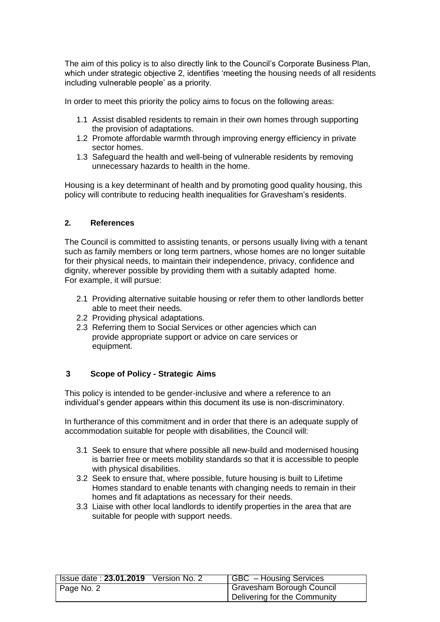The aim of this policy is to also directly link to the Council's Corporate Business Plan, which under strategic objective 2, identifies 'meeting the housing needs of all residents including vulnerable people' as a priority.

In order to meet this priority the policy aims to focus on the following areas:

- 1.1 Assist disabled residents to remain in their own homes through supporting the provision of adaptations.
- 1.2 Promote affordable warmth through improving energy efficiency in private sector homes.
- 1.3 Safeguard the health and well-being of vulnerable residents by removing unnecessary hazards to health in the home.

Housing is a key determinant of health and by promoting good quality housing, this policy will contribute to reducing health inequalities for Gravesham's residents.

## **2. References**

The Council is committed to assisting tenants, or persons usually living with a tenant such as family members or long term partners, whose homes are no longer suitable for their physical needs, to maintain their independence, privacy, confidence and dignity, wherever possible by providing them with a suitably adapted home. For example, it will pursue:

- 2.1 Providing alternative suitable housing or refer them to other landlords better able to meet their needs.
- 2.2 Providing physical adaptations.
- 2.3 Referring them to Social Services or other agencies which can provide appropriate support or advice on care services or equipment.

## **3 Scope of Policy - Strategic Aims**

This policy is intended to be gender-inclusive and where a reference to an individual's gender appears within this document its use is non-discriminatory.

In furtherance of this commitment and in order that there is an adequate supply of accommodation suitable for people with disabilities, the Council will:

- 3.1 Seek to ensure that where possible all new-build and modernised housing is barrier free or meets mobility standards so that it is accessible to people with physical disabilities.
- 3.2 Seek to ensure that, where possible, future housing is built to Lifetime Homes standard to enable tenants with changing needs to remain in their homes and fit adaptations as necessary for their needs.
- 3.3 Liaise with other local landlords to identify properties in the area that are suitable for people with support needs.

| Issue date: $23.01.2019$ Version No. 2 | GBC - Housing Services       |
|----------------------------------------|------------------------------|
| Page No. 2                             | Gravesham Borough Council    |
|                                        | Delivering for the Community |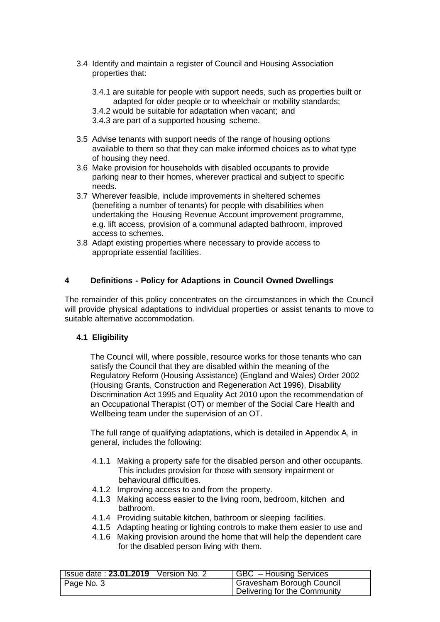- 3.4 Identify and maintain a register of Council and Housing Association properties that:
	- 3.4.1 are suitable for people with support needs, such as properties built or adapted for older people or to wheelchair or mobility standards;
	- 3.4.2 would be suitable for adaptation when vacant; and
	- 3.4.3 are part of a supported housing scheme.
- 3.5 Advise tenants with support needs of the range of housing options available to them so that they can make informed choices as to what type of housing they need.
- 3.6 Make provision for households with disabled occupants to provide parking near to their homes, wherever practical and subject to specific needs.
- 3.7 Wherever feasible, include improvements in sheltered schemes (benefiting a number of tenants) for people with disabilities when undertaking the Housing Revenue Account improvement programme, e.g. lift access, provision of a communal adapted bathroom, improved access to schemes.
- 3.8 Adapt existing properties where necessary to provide access to appropriate essential facilities.

## **4 Definitions - Policy for Adaptions in Council Owned Dwellings**

The remainder of this policy concentrates on the circumstances in which the Council will provide physical adaptations to individual properties or assist tenants to move to suitable alternative accommodation.

## **4.1 Eligibility**

The Council will, where possible, resource works for those tenants who can satisfy the Council that they are disabled within the meaning of the Regulatory Reform (Housing Assistance) (England and Wales) Order 2002 (Housing Grants, Construction and Regeneration Act 1996), Disability Discrimination Act 1995 and Equality Act 2010 upon the recommendation of an Occupational Therapist (OT) or member of the Social Care Health and Wellbeing team under the supervision of an OT.

The full range of qualifying adaptations, which is detailed in Appendix A, in general, includes the following:

- 4.1.1 Making a property safe for the disabled person and other occupants. This includes provision for those with sensory impairment or behavioural difficulties.
- 4.1.2 Improving access to and from the property.
- 4.1.3 Making access easier to the living room, bedroom, kitchen and bathroom.
- 4.1.4 Providing suitable kitchen, bathroom or sleeping facilities.
- 4.1.5 Adapting heating or lighting controls to make them easier to use and
- 4.1.6 Making provision around the home that will help the dependent care for the disabled person living with them.

| <b>Issue date: 23.01.2019</b> Version No. 2 | GBC - Housing Services                                    |
|---------------------------------------------|-----------------------------------------------------------|
| Page No. 3                                  | Gravesham Borough Council<br>Delivering for the Community |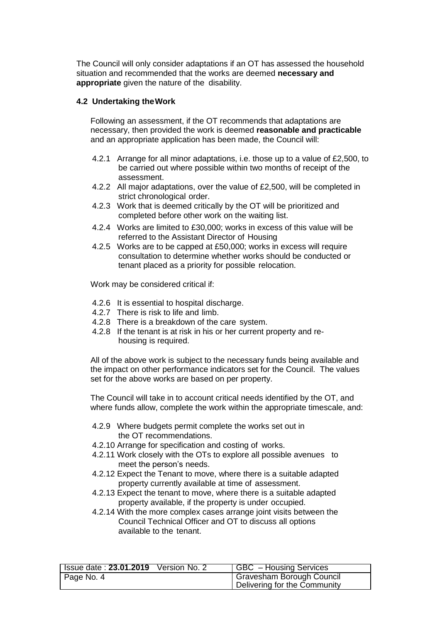The Council will only consider adaptations if an OT has assessed the household situation and recommended that the works are deemed **necessary and appropriate** given the nature of the disability.

#### **4.2 Undertaking theWork**

Following an assessment, if the OT recommends that adaptations are necessary, then provided the work is deemed **reasonable and practicable**  and an appropriate application has been made, the Council will:

- 4.2.1 Arrange for all minor adaptations, i.e. those up to a value of £2,500, to be carried out where possible within two months of receipt of the assessment.
- 4.2.2 All major adaptations, over the value of £2,500, will be completed in strict chronological order.
- 4.2.3 Work that is deemed critically by the OT will be prioritized and completed before other work on the waiting list.
- 4.2.4 Works are limited to £30,000; works in excess of this value will be referred to the Assistant Director of Housing
- 4.2.5 Works are to be capped at £50,000; works in excess will require consultation to determine whether works should be conducted or tenant placed as a priority for possible relocation.

Work may be considered critical if:

- 4.2.6 It is essential to hospital discharge.
- 4.2.7 There is risk to life and limb.
- 4.2.8 There is a breakdown of the care system.
- 4.2.8 If the tenant is at risk in his or her current property and rehousing is required.

All of the above work is subject to the necessary funds being available and the impact on other performance indicators set for the Council. The values set for the above works are based on per property.

The Council will take in to account critical needs identified by the OT, and where funds allow, complete the work within the appropriate timescale, and:

- 4.2.9 Where budgets permit complete the works set out in the OT recommendations.
- 4.2.10 Arrange for specification and costing of works.
- 4.2.11 Work closely with the OTs to explore all possible avenues to meet the person's needs.
- 4.2.12 Expect the Tenant to move, where there is a suitable adapted property currently available at time of assessment.
- 4.2.13 Expect the tenant to move, where there is a suitable adapted property available, if the property is under occupied.
- 4.2.14 With the more complex cases arrange joint visits between the Council Technical Officer and OT to discuss all options available to the tenant.

| <b>Issue date: 23.01.2019</b> Version No. 2 | GBC - Housing Services       |
|---------------------------------------------|------------------------------|
| Page No. 4                                  | Gravesham Borough Council    |
|                                             | Delivering for the Community |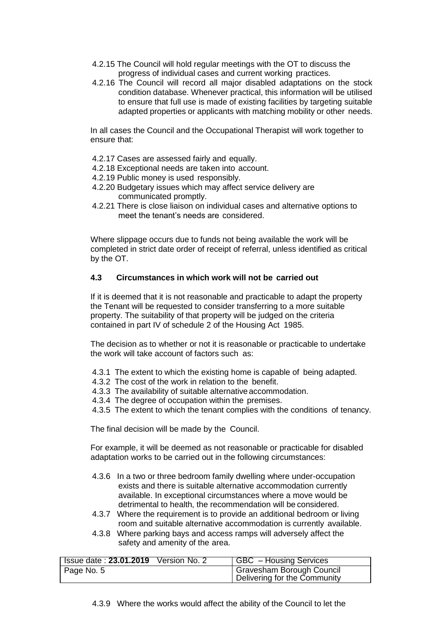- 4.2.15 The Council will hold regular meetings with the OT to discuss the progress of individual cases and current working practices.
- 4.2.16 The Council will record all major disabled adaptations on the stock condition database. Whenever practical, this information will be utilised to ensure that full use is made of existing facilities by targeting suitable adapted properties or applicants with matching mobility or other needs.

In all cases the Council and the Occupational Therapist will work together to ensure that:

- 4.2.17 Cases are assessed fairly and equally.
- 4.2.18 Exceptional needs are taken into account.
- 4.2.19 Public money is used responsibly.
- 4.2.20 Budgetary issues which may affect service delivery are communicated promptly.
- 4.2.21 There is close liaison on individual cases and alternative options to meet the tenant's needs are considered.

Where slippage occurs due to funds not being available the work will be completed in strict date order of receipt of referral, unless identified as critical by the OT.

## **4.3 Circumstances in which work will not be carried out**

If it is deemed that it is not reasonable and practicable to adapt the property the Tenant will be requested to consider transferring to a more suitable property. The suitability of that property will be judged on the criteria contained in part IV of schedule 2 of the Housing Act 1985.

The decision as to whether or not it is reasonable or practicable to undertake the work will take account of factors such as:

- 4.3.1 The extent to which the existing home is capable of being adapted.
- 4.3.2 The cost of the work in relation to the benefit.
- 4.3.3 The availability of suitable alternative accommodation.
- 4.3.4 The degree of occupation within the premises.
- 4.3.5 The extent to which the tenant complies with the conditions of tenancy.

The final decision will be made by the Council.

For example, it will be deemed as not reasonable or practicable for disabled adaptation works to be carried out in the following circumstances:

- 4.3.6 In a two or three bedroom family dwelling where under-occupation exists and there is suitable alternative accommodation currently available. In exceptional circumstances where a move would be detrimental to health, the recommendation will be considered.
- 4.3.7 Where the requirement is to provide an additional bedroom or living room and suitable alternative accommodation is currently available.
- 4.3.8 Where parking bays and access ramps will adversely affect the safety and amenity of the area.

| <b>Issue date: 23.01.2019</b> Version No. 2 | GBC - Housing Services       |
|---------------------------------------------|------------------------------|
| Page No. 5                                  | Gravesham Borough Council    |
|                                             | Delivering for the Community |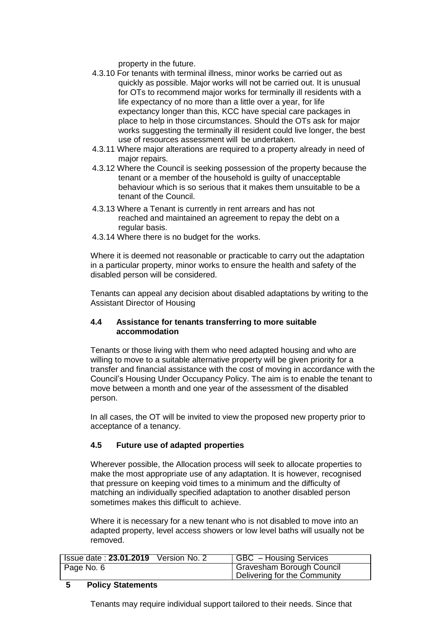property in the future.

- 4.3.10 For tenants with terminal illness, minor works be carried out as quickly as possible. Major works will not be carried out. It is unusual for OTs to recommend major works for terminally ill residents with a life expectancy of no more than a little over a year, for life expectancy longer than this, KCC have special care packages in place to help in those circumstances. Should the OTs ask for major works suggesting the terminally ill resident could live longer, the best use of resources assessment will be undertaken.
- 4.3.11 Where major alterations are required to a property already in need of major repairs.
- 4.3.12 Where the Council is seeking possession of the property because the tenant or a member of the household is guilty of unacceptable behaviour which is so serious that it makes them unsuitable to be a tenant of the Council.
- 4.3.13 Where a Tenant is currently in rent arrears and has not reached and maintained an agreement to repay the debt on a regular basis.
- 4.3.14 Where there is no budget for the works.

Where it is deemed not reasonable or practicable to carry out the adaptation in a particular property, minor works to ensure the health and safety of the disabled person will be considered.

Tenants can appeal any decision about disabled adaptations by writing to the Assistant Director of Housing

## **4.4 Assistance for tenants transferring to more suitable accommodation**

Tenants or those living with them who need adapted housing and who are willing to move to a suitable alternative property will be given priority for a transfer and financial assistance with the cost of moving in accordance with the Council's Housing Under Occupancy Policy. The aim is to enable the tenant to move between a month and one year of the assessment of the disabled person.

In all cases, the OT will be invited to view the proposed new property prior to acceptance of a tenancy.

# **4.5 Future use of adapted properties**

Wherever possible, the Allocation process will seek to allocate properties to make the most appropriate use of any adaptation. It is however, recognised that pressure on keeping void times to a minimum and the difficulty of matching an individually specified adaptation to another disabled person sometimes makes this difficult to achieve.

Where it is necessary for a new tenant who is not disabled to move into an adapted property, level access showers or low level baths will usually not be removed.

| <b>Issue date: 23.01.2019</b> Version No. 2 | <b>GBC</b> - Housing Services |
|---------------------------------------------|-------------------------------|
| Page No. 6                                  | Gravesham Borough Council     |
|                                             | Delivering for the Community  |

## **5 Policy Statements**

Tenants may require individual support tailored to their needs. Since that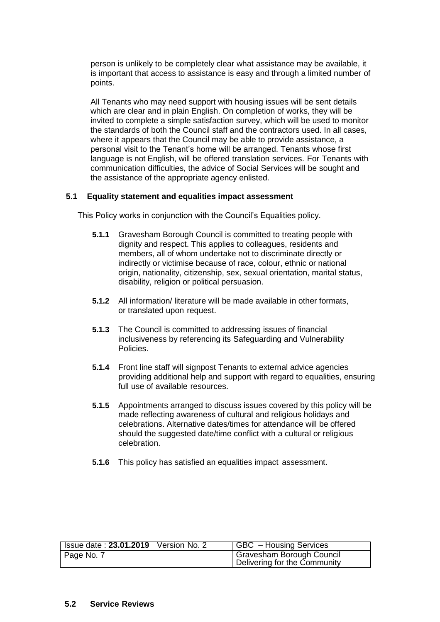person is unlikely to be completely clear what assistance may be available, it is important that access to assistance is easy and through a limited number of points.

All Tenants who may need support with housing issues will be sent details which are clear and in plain English. On completion of works, they will be invited to complete a simple satisfaction survey, which will be used to monitor the standards of both the Council staff and the contractors used. In all cases, where it appears that the Council may be able to provide assistance, a personal visit to the Tenant's home will be arranged. Tenants whose first language is not English, will be offered translation services. For Tenants with communication difficulties, the advice of Social Services will be sought and the assistance of the appropriate agency enlisted.

#### **5.1 Equality statement and equalities impact assessment**

This Policy works in conjunction with the Council's Equalities policy.

- **5.1.1** Gravesham Borough Council is committed to treating people with dignity and respect. This applies to colleagues, residents and members, all of whom undertake not to discriminate directly or indirectly or victimise because of race, colour, ethnic or national origin, nationality, citizenship, sex, sexual orientation, marital status, disability, religion or political persuasion.
- **5.1.2** All information/ literature will be made available in other formats, or translated upon request.
- **5.1.3** The Council is committed to addressing issues of financial inclusiveness by referencing its Safeguarding and Vulnerability Policies.
- **5.1.4** Front line staff will signpost Tenants to external advice agencies providing additional help and support with regard to equalities, ensuring full use of available resources.
- **5.1.5** Appointments arranged to discuss issues covered by this policy will be made reflecting awareness of cultural and religious holidays and celebrations. Alternative dates/times for attendance will be offered should the suggested date/time conflict with a cultural or religious celebration.
- **5.1.6** This policy has satisfied an equalities impact assessment.

| <b>Issue date: 23.01.2019</b> Version No. 2 | GBC - Housing Services       |
|---------------------------------------------|------------------------------|
| Page No. 7                                  | Gravesham Borough Council    |
|                                             | Delivering for the Community |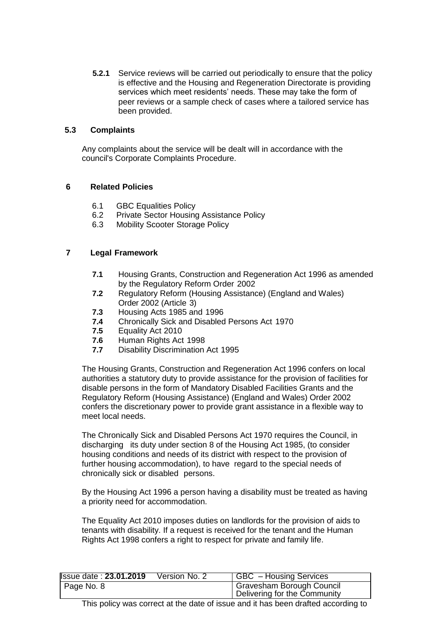**5.2.1** Service reviews will be carried out periodically to ensure that the policy is effective and the Housing and Regeneration Directorate is providing services which meet residents' needs. These may take the form of peer reviews or a sample check of cases where a tailored service has been provided.

## **5.3 Complaints**

Any complaints about the service will be dealt will in accordance with the council's Corporate Complaints Procedure.

# **6 Related Policies**

- 6.1 GBC Equalities Policy
- 6.2 Private Sector Housing Assistance Policy
- 6.3 Mobility Scooter Storage Policy

# **7 Legal Framework**

- **7.1** Housing Grants, Construction and Regeneration Act 1996 as amended by the Regulatory Reform Order 2002
- **7.2** Regulatory Reform (Housing Assistance) (England and Wales) Order 2002 (Article 3)
- **7.3** Housing Acts 1985 and 1996
- **7.4** Chronically Sick and Disabled Persons Act 1970
- **7.5** Equality Act 2010
- **7.6** Human Rights Act 1998
- **7.7** Disability Discrimination Act 1995

The Housing Grants, Construction and Regeneration Act 1996 confers on local authorities a statutory duty to provide assistance for the provision of facilities for disable persons in the form of Mandatory Disabled Facilities Grants and the Regulatory Reform (Housing Assistance) (England and Wales) Order 2002 confers the discretionary power to provide grant assistance in a flexible way to meet local needs.

The Chronically Sick and Disabled Persons Act 1970 requires the Council, in discharging its duty under section 8 of the Housing Act 1985, (to consider housing conditions and needs of its district with respect to the provision of further housing accommodation), to have regard to the special needs of chronically sick or disabled persons.

By the Housing Act 1996 a person having a disability must be treated as having a priority need for accommodation.

The Equality Act 2010 imposes duties on landlords for the provision of aids to tenants with disability. If a request is received for the tenant and the Human Rights Act 1998 confers a right to respect for private and family life.

| <b>Issue date: 23.01.2019</b> | Version No. 2 | GBC - Housing Services                 |
|-------------------------------|---------------|----------------------------------------|
| Page No. 8                    |               | <sup>1</sup> Gravesham Borough Council |
|                               |               | Delivering for the Community           |

This policy was correct at the date of issue and it has been drafted according to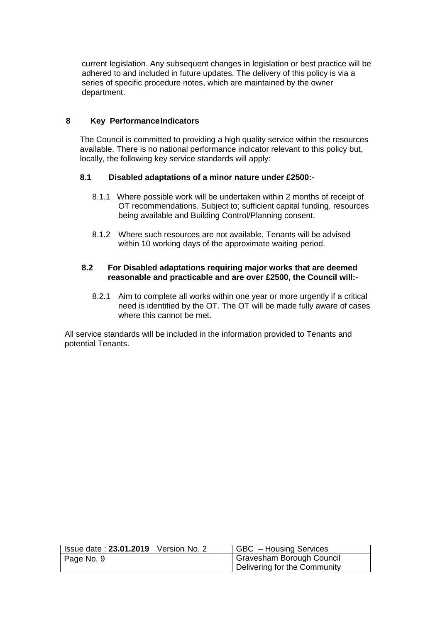current legislation. Any subsequent changes in legislation or best practice will be adhered to and included in future updates. The delivery of this policy is via a series of specific procedure notes, which are maintained by the owner department.

## **8 Key PerformanceIndicators**

The Council is committed to providing a high quality service within the resources available. There is no national performance indicator relevant to this policy but, locally, the following key service standards will apply:

# **8.1 Disabled adaptations of a minor nature under £2500:-**

- 8.1.1 Where possible work will be undertaken within 2 months of receipt of OT recommendations. Subject to; sufficient capital funding, resources being available and Building Control/Planning consent.
- 8.1.2 Where such resources are not available, Tenants will be advised within 10 working days of the approximate waiting period.

## **8.2 For Disabled adaptations requiring major works that are deemed reasonable and practicable and are over £2500, the Council will:-**

8.2.1 Aim to complete all works within one year or more urgently if a critical need is identified by the OT. The OT will be made fully aware of cases where this cannot be met.

All service standards will be included in the information provided to Tenants and potential Tenants.

| Issue date: $23.01.2019$ Version No. $2^{-}$ | GBC - Housing Services       |
|----------------------------------------------|------------------------------|
| Page No. 9                                   | Gravesham Borough Council    |
|                                              | Delivering for the Community |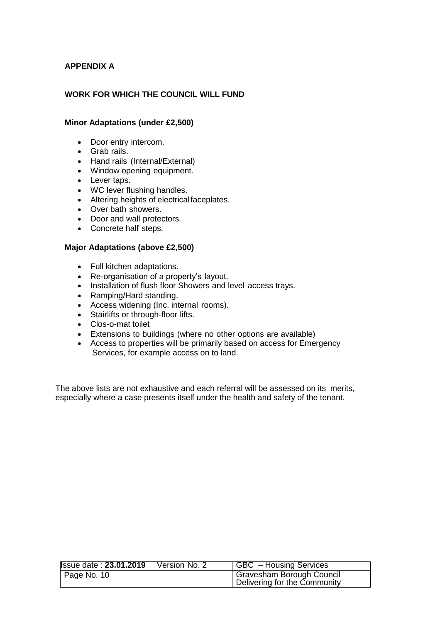# **APPENDIX A**

# **WORK FOR WHICH THE COUNCIL WILL FUND**

#### **Minor Adaptations (under £2,500)**

- Door entry intercom.
- Grab rails.
- Hand rails (Internal/External)
- Window opening equipment.
- Lever taps.
- WC lever flushing handles.
- Altering heights of electricalfaceplates.
- Over bath showers.
- Door and wall protectors.
- Concrete half steps.

#### **Major Adaptations (above £2,500)**

- Full kitchen adaptations.
- Re-organisation of a property's layout.
- Installation of flush floor Showers and level access trays.
- Ramping/Hard standing.
- Access widening (Inc. internal rooms).
- Stairlifts or through-floor lifts.
- Clos-o-mat toilet
- Extensions to buildings (where no other options are available)
- Access to properties will be primarily based on access for Emergency Services, for example access on to land.

The above lists are not exhaustive and each referral will be assessed on its merits, especially where a case presents itself under the health and safety of the tenant.

| <b>Issue date: 23.01.2019</b> | Version No. 2 | <b>GBC</b> – Housing Services |
|-------------------------------|---------------|-------------------------------|
| $\vert$ Page No. 10           |               | Gravesham Borough Council     |
|                               |               | Delivering for the Community  |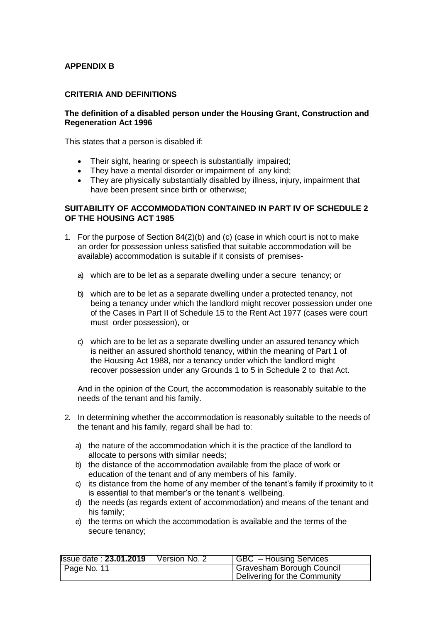# **APPENDIX B**

#### **CRITERIA AND DEFINITIONS**

#### **The definition of a disabled person under the Housing Grant, Construction and Regeneration Act 1996**

This states that a person is disabled if:

- Their sight, hearing or speech is substantially impaired;
- They have a mental disorder or impairment of any kind;
- They are physically substantially disabled by illness, injury, impairment that have been present since birth or otherwise;

## **SUITABILITY OF ACCOMMODATION CONTAINED IN PART IV OF SCHEDULE 2 OF THE HOUSING ACT 1985**

- 1. For the purpose of Section 84(2)(b) and (c) (case in which court is not to make an order for possession unless satisfied that suitable accommodation will be available) accommodation is suitable if it consists of premises
	- a) which are to be let as a separate dwelling under a secure tenancy; or
	- b) which are to be let as a separate dwelling under a protected tenancy, not being a tenancy under which the landlord might recover possession under one of the Cases in Part II of Schedule 15 to the Rent Act 1977 (cases were court must order possession), or
	- c) which are to be let as a separate dwelling under an assured tenancy which is neither an assured shorthold tenancy, within the meaning of Part 1 of the Housing Act 1988, nor a tenancy under which the landlord might recover possession under any Grounds 1 to 5 in Schedule 2 to that Act.

And in the opinion of the Court, the accommodation is reasonably suitable to the needs of the tenant and his family.

- 2. In determining whether the accommodation is reasonably suitable to the needs of the tenant and his family, regard shall be had to:
	- a) the nature of the accommodation which it is the practice of the landlord to allocate to persons with similar needs;
	- b) the distance of the accommodation available from the place of work or education of the tenant and of any members of his family.
	- c) its distance from the home of any member of the tenant's family if proximity to it is essential to that member's or the tenant's wellbeing.
	- d) the needs (as regards extent of accommodation) and means of the tenant and his family;
	- e) the terms on which the accommodation is available and the terms of the secure tenancy;

| <b>Issue date: 23.01.2019</b> | Version No. 2 | GBC - Housing Services                                    |
|-------------------------------|---------------|-----------------------------------------------------------|
| Page No. 11                   |               | Gravesham Borough Council<br>Delivering for the Community |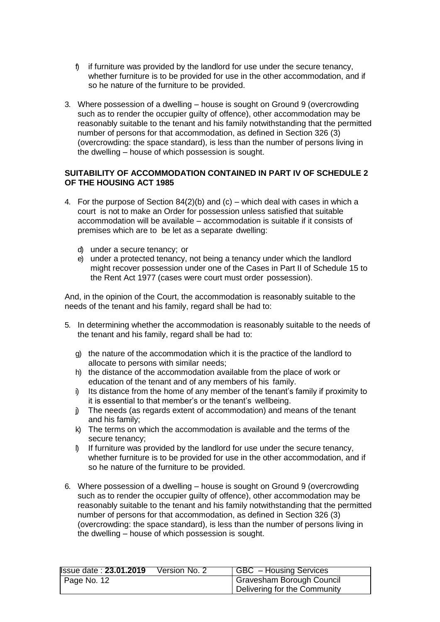- $\beta$  if furniture was provided by the landlord for use under the secure tenancy, whether furniture is to be provided for use in the other accommodation, and if so he nature of the furniture to be provided.
- 3. Where possession of a dwelling house is sought on Ground 9 (overcrowding such as to render the occupier guilty of offence), other accommodation may be reasonably suitable to the tenant and his family notwithstanding that the permitted number of persons for that accommodation, as defined in Section 326 (3) (overcrowding: the space standard), is less than the number of persons living in the dwelling – house of which possession is sought.

# **SUITABILITY OF ACCOMMODATION CONTAINED IN PART IV OF SCHEDULE 2 OF THE HOUSING ACT 1985**

- 4. For the purpose of Section  $84(2)(b)$  and  $(c)$  which deal with cases in which a court is not to make an Order for possession unless satisfied that suitable accommodation will be available – accommodation is suitable if it consists of premises which are to be let as a separate dwelling:
	- d) under a secure tenancy; or
	- e) under a protected tenancy, not being a tenancy under which the landlord might recover possession under one of the Cases in Part II of Schedule 15 to the Rent Act 1977 (cases were court must order possession).

And, in the opinion of the Court, the accommodation is reasonably suitable to the needs of the tenant and his family, regard shall be had to:

- 5. In determining whether the accommodation is reasonably suitable to the needs of the tenant and his family, regard shall be had to:
	- g) the nature of the accommodation which it is the practice of the landlord to allocate to persons with similar needs;
	- h) the distance of the accommodation available from the place of work or education of the tenant and of any members of his family.
	- i) Its distance from the home of any member of the tenant's family if proximity to it is essential to that member's or the tenant's wellbeing.
	- j) The needs (as regards extent of accommodation) and means of the tenant and his family;
	- k) The terms on which the accommodation is available and the terms of the secure tenancy;
	- l) If furniture was provided by the landlord for use under the secure tenancy, whether furniture is to be provided for use in the other accommodation, and if so he nature of the furniture to be provided.
- 6. Where possession of a dwelling house is sought on Ground 9 (overcrowding such as to render the occupier guilty of offence), other accommodation may be reasonably suitable to the tenant and his family notwithstanding that the permitted number of persons for that accommodation, as defined in Section 326 (3) (overcrowding: the space standard), is less than the number of persons living in the dwelling – house of which possession is sought.

| <b>Issue date: 23.01.2019</b> | Version No. 2 | GBC - Housing Services       |
|-------------------------------|---------------|------------------------------|
| $\vert$ Page No. 12           |               | Gravesham Borough Council    |
|                               |               | Delivering for the Community |